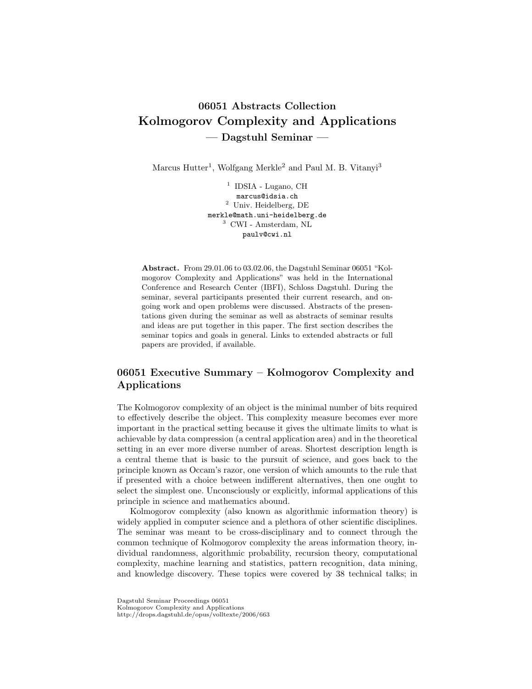# 06051 Abstracts Collection Kolmogorov Complexity and Applications — Dagstuhl Seminar —

Marcus Hutter<sup>1</sup>, Wolfgang Merkle<sup>2</sup> and Paul M. B. Vitanyi<sup>3</sup>

<sup>1</sup> IDSIA - Lugano, CH marcus@idsia.ch <sup>2</sup> Univ. Heidelberg, DE merkle@math.uni-heidelberg.de <sup>3</sup> CWI - Amsterdam, NL paulv@cwi.nl

Abstract. From 29.01.06 to 03.02.06, the Dagstuhl Seminar 06051 "Kolmogorov Complexity and Applications" was held in the International Conference and Research Center (IBFI), Schloss Dagstuhl. During the seminar, several participants presented their current research, and ongoing work and open problems were discussed. Abstracts of the presentations given during the seminar as well as abstracts of seminar results and ideas are put together in this paper. The first section describes the seminar topics and goals in general. Links to extended abstracts or full papers are provided, if available.

# 06051 Executive Summary – Kolmogorov Complexity and Applications

The Kolmogorov complexity of an object is the minimal number of bits required to effectively describe the object. This complexity measure becomes ever more important in the practical setting because it gives the ultimate limits to what is achievable by data compression (a central application area) and in the theoretical setting in an ever more diverse number of areas. Shortest description length is a central theme that is basic to the pursuit of science, and goes back to the principle known as Occam's razor, one version of which amounts to the rule that if presented with a choice between indifferent alternatives, then one ought to select the simplest one. Unconsciously or explicitly, informal applications of this principle in science and mathematics abound.

Kolmogorov complexity (also known as algorithmic information theory) is widely applied in computer science and a plethora of other scientific disciplines. The seminar was meant to be cross-disciplinary and to connect through the common technique of Kolmogorov complexity the areas information theory, individual randomness, algorithmic probability, recursion theory, computational complexity, machine learning and statistics, pattern recognition, data mining, and knowledge discovery. These topics were covered by 38 technical talks; in

Dagstuhl Seminar Proceedings 06051 Kolmogorov Complexity and Applications http://drops.dagstuhl.de/opus/volltexte/2006/663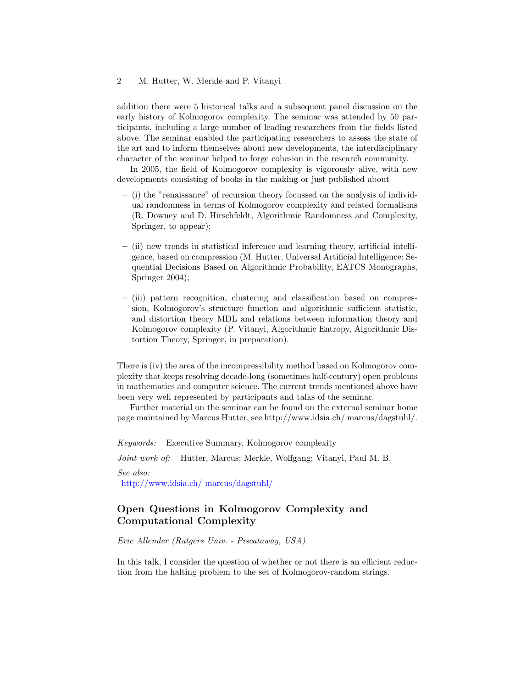addition there were 5 historical talks and a subsequent panel discussion on the early history of Kolmogorov complexity. The seminar was attended by 50 participants, including a large number of leading researchers from the fields listed above. The seminar enabled the participating researchers to assess the state of the art and to inform themselves about new developments, the interdisciplinary character of the seminar helped to forge cohesion in the research community.

In 2005, the field of Kolmogorov complexity is vigorously alive, with new developments consisting of books in the making or just published about

- (i) the "renaissance" of recursion theory focussed on the analysis of individual randomness in terms of Kolmogorov complexity and related formalisms (R. Downey and D. Hirschfeldt, Algorithmic Randomness and Complexity, Springer, to appear);
- (ii) new trends in statistical inference and learning theory, artificial intelligence, based on compression (M. Hutter, Universal Artificial Intelligence: Sequential Decisions Based on Algorithmic Probability, EATCS Monographs, Springer 2004);
- (iii) pattern recognition, clustering and classification based on compression, Kolmogorov's structure function and algorithmic sufficient statistic, and distortion theory MDL and relations between information theory and Kolmogorov complexity (P. Vitanyi, Algorithmic Entropy, Algorithmic Distortion Theory, Springer, in preparation).

There is (iv) the area of the incompressibility method based on Kolmogorov complexity that keeps resolving decade-long (sometimes half-century) open problems in mathematics and computer science. The current trends mentioned above have been very well represented by participants and talks of the seminar.

Further material on the seminar can be found on the external seminar home page maintained by Marcus Hutter, see http://www.idsia.ch/ marcus/dagstuhl/.

Keywords: Executive Summary, Kolmogorov complexity

Joint work of: Hutter, Marcus; Merkle, Wolfgang; Vitanyi, Paul M. B.

See also: [http://www.idsia.ch/ marcus/dagstuhl/](http://www.idsia.ch/~marcus/dagstuhl/)

# Open Questions in Kolmogorov Complexity and Computational Complexity

Eric Allender (Rutgers Univ. - Piscataway, USA)

In this talk, I consider the question of whether or not there is an efficient reduction from the halting problem to the set of Kolmogorov-random strings.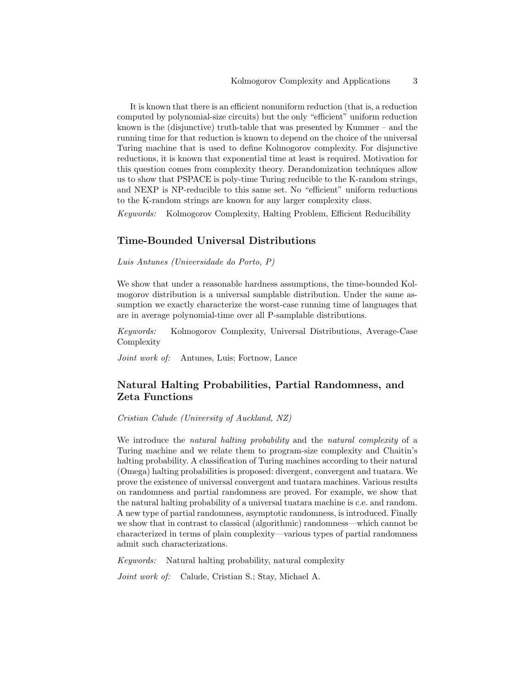It is known that there is an efficient nonuniform reduction (that is, a reduction computed by polynomial-size circuits) but the only "efficient" uniform reduction known is the (disjunctive) truth-table that was presented by Kummer – and the running time for that reduction is known to depend on the choice of the universal Turing machine that is used to define Kolmogorov complexity. For disjunctive reductions, it is known that exponential time at least is required. Motivation for this question comes from complexity theory. Derandomization techniques allow us to show that PSPACE is poly-time Turing reducible to the K-random strings, and NEXP is NP-reducible to this same set. No "efficient" uniform reductions to the K-random strings are known for any larger complexity class.

Keywords: Kolmogorov Complexity, Halting Problem, Efficient Reducibility

#### Time-Bounded Universal Distributions

Luis Antunes (Universidade do Porto, P)

We show that under a reasonable hardness assumptions, the time-bounded Kolmogorov distribution is a universal samplable distribution. Under the same assumption we exactly characterize the worst-case running time of languages that are in average polynomial-time over all P-samplable distributions.

Keywords: Kolmogorov Complexity, Universal Distributions, Average-Case Complexity

Joint work of: Antunes, Luis; Fortnow, Lance

# Natural Halting Probabilities, Partial Randomness, and Zeta Functions

Cristian Calude (University of Auckland, NZ)

We introduce the *natural halting probability* and the *natural complexity* of a Turing machine and we relate them to program-size complexity and Chaitin's halting probability. A classification of Turing machines according to their natural (Omega) halting probabilities is proposed: divergent, convergent and tuatara. We prove the existence of universal convergent and tuatara machines. Various results on randomness and partial randomness are proved. For example, we show that the natural halting probability of a universal tuatara machine is c.e. and random. A new type of partial randomness, asymptotic randomness, is introduced. Finally we show that in contrast to classical (algorithmic) randomness—which cannot be characterized in terms of plain complexity—various types of partial randomness admit such characterizations.

Keywords: Natural halting probability, natural complexity

Joint work of: Calude, Cristian S.; Stay, Michael A.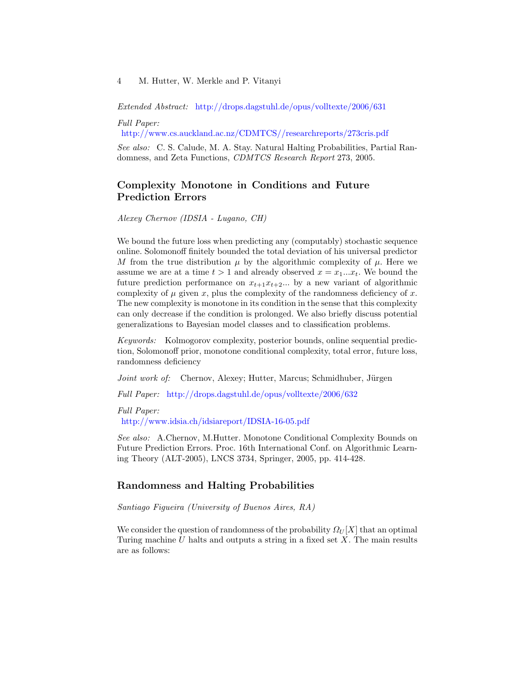Extended Abstract: <http://drops.dagstuhl.de/opus/volltexte/2006/631>

Full Paper:

<http://www.cs.auckland.ac.nz/CDMTCS//researchreports/273cris.pdf>

See also: C. S. Calude, M. A. Stay. Natural Halting Probabilities, Partial Randomness, and Zeta Functions, CDMTCS Research Report 273, 2005.

# Complexity Monotone in Conditions and Future Prediction Errors

Alexey Chernov (IDSIA - Lugano, CH)

We bound the future loss when predicting any (computably) stochastic sequence online. Solomonoff finitely bounded the total deviation of his universal predictor M from the true distribution  $\mu$  by the algorithmic complexity of  $\mu$ . Here we assume we are at a time  $t > 1$  and already observed  $x = x_1...x_t$ . We bound the future prediction performance on  $x_{t+1}x_{t+2}...$  by a new variant of algorithmic complexity of  $\mu$  given x, plus the complexity of the randomness deficiency of x. The new complexity is monotone in its condition in the sense that this complexity can only decrease if the condition is prolonged. We also briefly discuss potential generalizations to Bayesian model classes and to classification problems.

Keywords: Kolmogorov complexity, posterior bounds, online sequential prediction, Solomonoff prior, monotone conditional complexity, total error, future loss, randomness deficiency

Joint work of: Chernov, Alexey; Hutter, Marcus; Schmidhuber, Jürgen

Full Paper: <http://drops.dagstuhl.de/opus/volltexte/2006/632>

Full Paper:

<http://www.idsia.ch/idsiareport/IDSIA-16-05.pdf>

See also: A.Chernov, M.Hutter. Monotone Conditional Complexity Bounds on Future Prediction Errors. Proc. 16th International Conf. on Algorithmic Learning Theory (ALT-2005), LNCS 3734, Springer, 2005, pp. 414-428.

### Randomness and Halting Probabilities

Santiago Figueira (University of Buenos Aires, RA)

We consider the question of randomness of the probability  $\Omega_U[X]$  that an optimal Turing machine  $U$  halts and outputs a string in a fixed set  $X$ . The main results are as follows: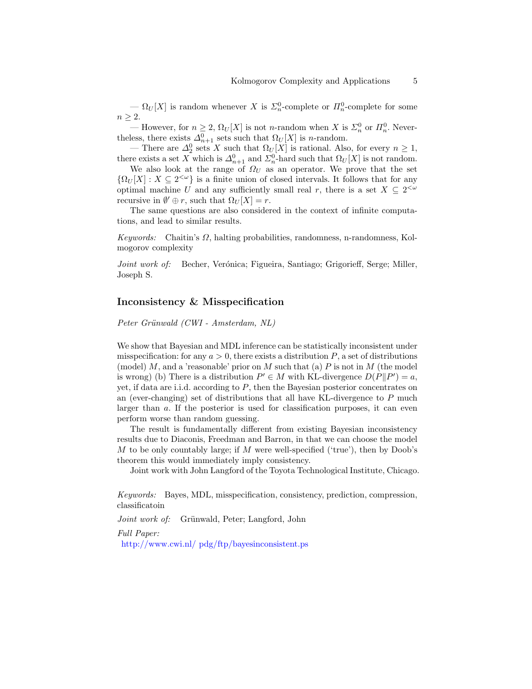$- \Omega_U[X]$  is random whenever X is  $\mathcal{Z}_n^0$ -complete or  $\mathbb{Z}_n^0$ -complete for some  $n \geq 2$ .

— However, for  $n \geq 2$ ,  $\Omega_U[X]$  is not *n*-random when X is  $\Sigma_n^0$  or  $\Pi_n^0$ . Nevertheless, there exists  $\Delta_{n+1}^0$  sets such that  $\Omega_U[X]$  is *n*-random.

— There are  $\Delta_2^0$  sets X such that  $\Omega_U[X]$  is rational. Also, for every  $n \geq 1$ , there exists a set X which is  $\Delta_{n+1}^0$  and  $\Sigma_n^0$ -hard such that  $\Omega_U[X]$  is not random.

We also look at the range of  $\Omega_U$  as an operator. We prove that the set  ${\Omega_U[X]: X \subseteq 2^{&\omega} }$  is a finite union of closed intervals. It follows that for any optimal machine U and any sufficiently small real r, there is a set  $X \subseteq 2^{< \omega}$ recursive in  $\emptyset' \oplus r$ , such that  $\Omega_U[X] = r$ .

The same questions are also considered in the context of infinite computations, and lead to similar results.

Keywords: Chaitin's  $\Omega$ , halting probabilities, randomness, n-randomness, Kolmogorov complexity

Joint work of: Becher, Verónica; Figueira, Santiago; Grigorieff, Serge; Miller, Joseph S.

### Inconsistency & Misspecification

Peter Grünwald (CWI - Amsterdam, NL)

We show that Bayesian and MDL inference can be statistically inconsistent under misspecification: for any  $a > 0$ , there exists a distribution P, a set of distributions (model)  $M$ , and a 'reasonable' prior on  $M$  such that (a)  $P$  is not in  $M$  (the model is wrong) (b) There is a distribution  $P' \in M$  with KL-divergence  $D(P||P') = a$ , yet, if data are i.i.d. according to  $P$ , then the Bayesian posterior concentrates on an (ever-changing) set of distributions that all have KL-divergence to  $P$  much larger than a. If the posterior is used for classification purposes, it can even perform worse than random guessing.

The result is fundamentally different from existing Bayesian inconsistency results due to Diaconis, Freedman and Barron, in that we can choose the model M to be only countably large; if M were well-specified ('true'), then by Doob's theorem this would immediately imply consistency.

Joint work with John Langford of the Toyota Technological Institute, Chicago.

Keywords: Bayes, MDL, misspecification, consistency, prediction, compression, classificatoin

Joint work of: Grünwald, Peter; Langford, John

Full Paper:

[http://www.cwi.nl/ pdg/ftp/bayesinconsistent.ps](http://www.cwi.nl/~pdg/ftp/bayesinconsistent.ps)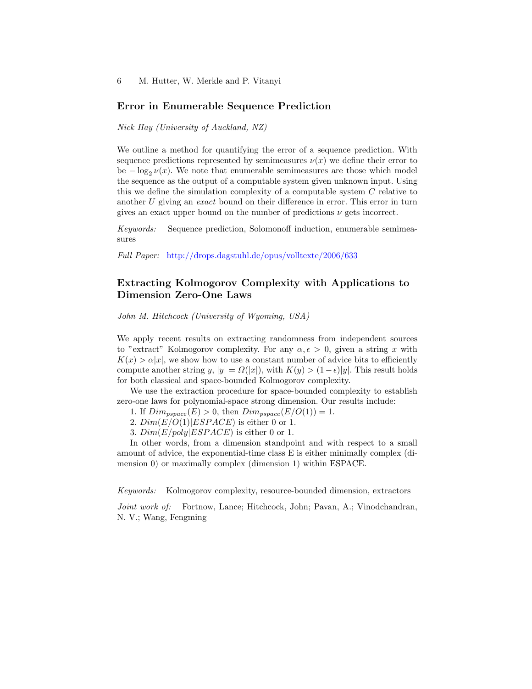### Error in Enumerable Sequence Prediction

#### Nick Hay (University of Auckland, NZ)

We outline a method for quantifying the error of a sequence prediction. With sequence predictions represented by semimeasures  $\nu(x)$  we define their error to be  $-\log_2 \nu(x)$ . We note that enumerable semimeasures are those which model the sequence as the output of a computable system given unknown input. Using this we define the simulation complexity of a computable system  $C$  relative to another U giving an exact bound on their difference in error. This error in turn gives an exact upper bound on the number of predictions  $\nu$  gets incorrect.

Keywords: Sequence prediction, Solomonoff induction, enumerable semimeasures

Full Paper: <http://drops.dagstuhl.de/opus/volltexte/2006/633>

# Extracting Kolmogorov Complexity with Applications to Dimension Zero-One Laws

John M. Hitchcock (University of Wyoming, USA)

We apply recent results on extracting randomness from independent sources to "extract" Kolmogorov complexity. For any  $\alpha, \epsilon > 0$ , given a string x with  $K(x) > \alpha |x|$ , we show how to use a constant number of advice bits to efficiently compute another string y,  $|y| = \Omega(|x|)$ , with  $K(y) > (1 - \epsilon)|y|$ . This result holds for both classical and space-bounded Kolmogorov complexity.

We use the extraction procedure for space-bounded complexity to establish zero-one laws for polynomial-space strong dimension. Our results include:

- 1. If  $Dim_{\text{pspace}}(E) > 0$ , then  $Dim_{\text{pspace}}(E/O(1)) = 1$ .
- 2.  $Dim(E/O(1)|ESPACE)$  is either 0 or 1.
- 3.  $Dim(E/poly|ESPACE)$  is either 0 or 1.

In other words, from a dimension standpoint and with respect to a small amount of advice, the exponential-time class E is either minimally complex (dimension 0) or maximally complex (dimension 1) within ESPACE.

Keywords: Kolmogorov complexity, resource-bounded dimension, extractors

Joint work of: Fortnow, Lance; Hitchcock, John; Pavan, A.; Vinodchandran, N. V.; Wang, Fengming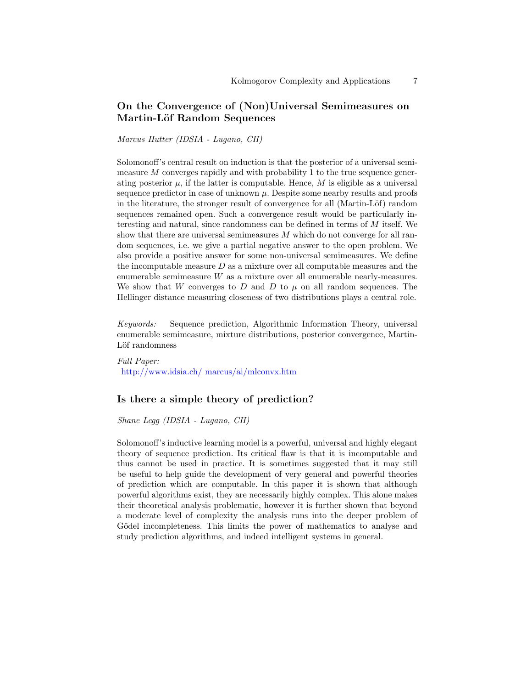# On the Convergence of (Non)Universal Semimeasures on Martin-Löf Random Sequences

Marcus Hutter (IDSIA - Lugano, CH)

Solomonoff's central result on induction is that the posterior of a universal semimeasure M converges rapidly and with probability 1 to the true sequence generating posterior  $\mu$ , if the latter is computable. Hence, M is eligible as a universal sequence predictor in case of unknown  $\mu$ . Despite some nearby results and proofs in the literature, the stronger result of convergence for all (Martin-Löf) random sequences remained open. Such a convergence result would be particularly interesting and natural, since randomness can be defined in terms of M itself. We show that there are universal semimeasures  $M$  which do not converge for all random sequences, i.e. we give a partial negative answer to the open problem. We also provide a positive answer for some non-universal semimeasures. We define the incomputable measure  $D$  as a mixture over all computable measures and the enumerable semimeasure  $W$  as a mixture over all enumerable nearly-measures. We show that W converges to D and D to  $\mu$  on all random sequences. The Hellinger distance measuring closeness of two distributions plays a central role.

Keywords: Sequence prediction, Algorithmic Information Theory, universal enumerable semimeasure, mixture distributions, posterior convergence, Martin-Löf randomness

Full Paper: [http://www.idsia.ch/ marcus/ai/mlconvx.htm](http://www.idsia.ch/~marcus/ai/mlconvx.htm)

### Is there a simple theory of prediction?

Shane Legg (IDSIA - Lugano, CH)

Solomonoff's inductive learning model is a powerful, universal and highly elegant theory of sequence prediction. Its critical flaw is that it is incomputable and thus cannot be used in practice. It is sometimes suggested that it may still be useful to help guide the development of very general and powerful theories of prediction which are computable. In this paper it is shown that although powerful algorithms exist, they are necessarily highly complex. This alone makes their theoretical analysis problematic, however it is further shown that beyond a moderate level of complexity the analysis runs into the deeper problem of Gödel incompleteness. This limits the power of mathematics to analyse and study prediction algorithms, and indeed intelligent systems in general.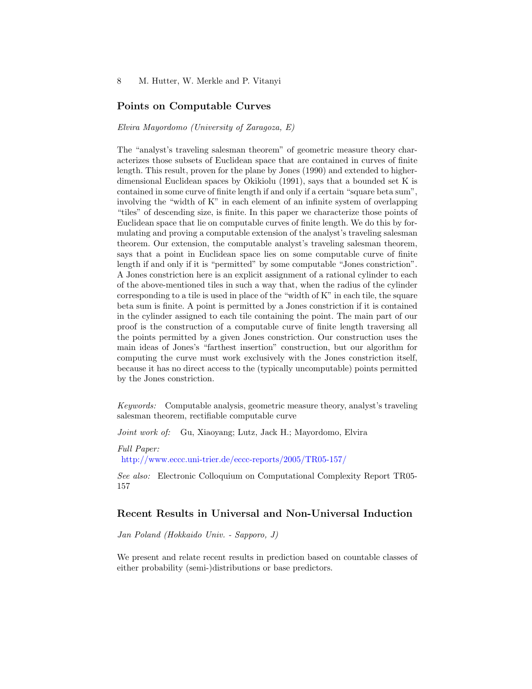### Points on Computable Curves

#### Elvira Mayordomo (University of Zaragoza, E)

The "analyst's traveling salesman theorem" of geometric measure theory characterizes those subsets of Euclidean space that are contained in curves of finite length. This result, proven for the plane by Jones (1990) and extended to higherdimensional Euclidean spaces by Okikiolu (1991), says that a bounded set K is contained in some curve of finite length if and only if a certain "square beta sum", involving the "width of K" in each element of an infinite system of overlapping "tiles" of descending size, is finite. In this paper we characterize those points of Euclidean space that lie on computable curves of finite length. We do this by formulating and proving a computable extension of the analyst's traveling salesman theorem. Our extension, the computable analyst's traveling salesman theorem, says that a point in Euclidean space lies on some computable curve of finite length if and only if it is "permitted" by some computable "Jones constriction". A Jones constriction here is an explicit assignment of a rational cylinder to each of the above-mentioned tiles in such a way that, when the radius of the cylinder corresponding to a tile is used in place of the "width of K" in each tile, the square beta sum is finite. A point is permitted by a Jones constriction if it is contained in the cylinder assigned to each tile containing the point. The main part of our proof is the construction of a computable curve of finite length traversing all the points permitted by a given Jones constriction. Our construction uses the main ideas of Jones's "farthest insertion" construction, but our algorithm for computing the curve must work exclusively with the Jones constriction itself, because it has no direct access to the (typically uncomputable) points permitted by the Jones constriction.

Keywords: Computable analysis, geometric measure theory, analyst's traveling salesman theorem, rectifiable computable curve

Joint work of: Gu, Xiaoyang; Lutz, Jack H.; Mayordomo, Elvira

Full Paper: <http://www.eccc.uni-trier.de/eccc-reports/2005/TR05-157/>

See also: Electronic Colloquium on Computational Complexity Report TR05- 157

### Recent Results in Universal and Non-Universal Induction

Jan Poland (Hokkaido Univ. - Sapporo, J)

We present and relate recent results in prediction based on countable classes of either probability (semi-)distributions or base predictors.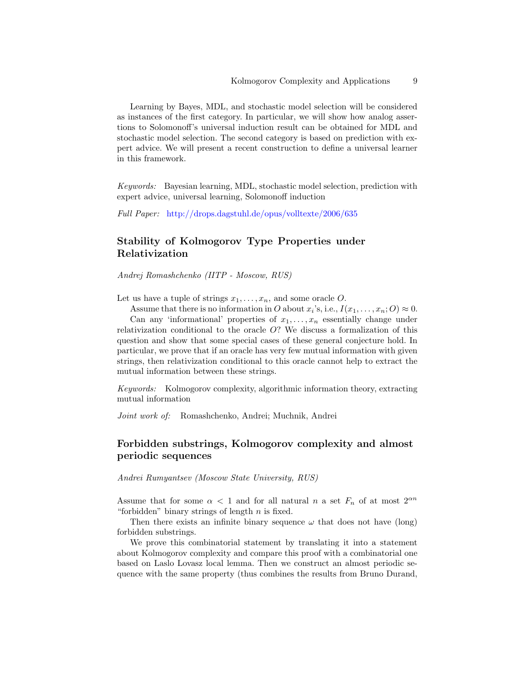Learning by Bayes, MDL, and stochastic model selection will be considered as instances of the first category. In particular, we will show how analog assertions to Solomonoff's universal induction result can be obtained for MDL and stochastic model selection. The second category is based on prediction with expert advice. We will present a recent construction to define a universal learner in this framework.

Keywords: Bayesian learning, MDL, stochastic model selection, prediction with expert advice, universal learning, Solomonoff induction

Full Paper: <http://drops.dagstuhl.de/opus/volltexte/2006/635>

# Stability of Kolmogorov Type Properties under Relativization

Andrej Romashchenko (IITP - Moscow, RUS)

Let us have a tuple of strings  $x_1, \ldots, x_n$ , and some oracle O.

Assume that there is no information in O about  $x_i$ 's, i.e.,  $I(x_1, \ldots, x_n; O) \approx 0$ . Can any 'informational' properties of  $x_1, \ldots, x_n$  essentially change under relativization conditional to the oracle O? We discuss a formalization of this question and show that some special cases of these general conjecture hold. In particular, we prove that if an oracle has very few mutual information with given strings, then relativization conditional to this oracle cannot help to extract the mutual information between these strings.

Keywords: Kolmogorov complexity, algorithmic information theory, extracting mutual information

Joint work of: Romashchenko, Andrei; Muchnik, Andrei

# Forbidden substrings, Kolmogorov complexity and almost periodic sequences

Andrei Rumyantsev (Moscow State University, RUS)

Assume that for some  $\alpha < 1$  and for all natural n a set  $F_n$  of at most  $2^{\alpha n}$ "forbidden" binary strings of length  $n$  is fixed.

Then there exists an infinite binary sequence  $\omega$  that does not have (long) forbidden substrings.

We prove this combinatorial statement by translating it into a statement about Kolmogorov complexity and compare this proof with a combinatorial one based on Laslo Lovasz local lemma. Then we construct an almost periodic sequence with the same property (thus combines the results from Bruno Durand,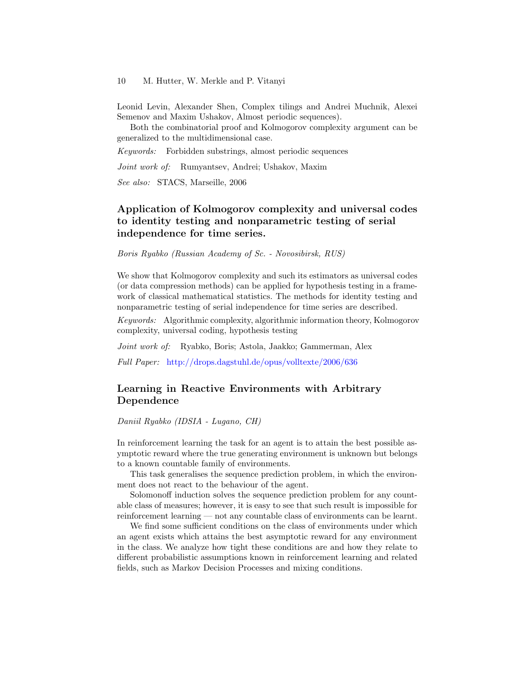Leonid Levin, Alexander Shen, Complex tilings and Andrei Muchnik, Alexei Semenov and Maxim Ushakov, Almost periodic sequences).

Both the combinatorial proof and Kolmogorov complexity argument can be generalized to the multidimensional case.

Keywords: Forbidden substrings, almost periodic sequences

Joint work of: Rumyantsev, Andrei; Ushakov, Maxim

See also: STACS, Marseille, 2006

# Application of Kolmogorov complexity and universal codes to identity testing and nonparametric testing of serial independence for time series.

Boris Ryabko (Russian Academy of Sc. - Novosibirsk, RUS)

We show that Kolmogorov complexity and such its estimators as universal codes (or data compression methods) can be applied for hypothesis testing in a framework of classical mathematical statistics. The methods for identity testing and nonparametric testing of serial independence for time series are described.

Keywords: Algorithmic complexity, algorithmic information theory, Kolmogorov complexity, universal coding, hypothesis testing

Joint work of: Ryabko, Boris; Astola, Jaakko; Gammerman, Alex

Full Paper: <http://drops.dagstuhl.de/opus/volltexte/2006/636>

# Learning in Reactive Environments with Arbitrary Dependence

Daniil Ryabko (IDSIA - Lugano, CH)

In reinforcement learning the task for an agent is to attain the best possible asymptotic reward where the true generating environment is unknown but belongs to a known countable family of environments.

This task generalises the sequence prediction problem, in which the environment does not react to the behaviour of the agent.

Solomonoff induction solves the sequence prediction problem for any countable class of measures; however, it is easy to see that such result is impossible for reinforcement learning — not any countable class of environments can be learnt.

We find some sufficient conditions on the class of environments under which an agent exists which attains the best asymptotic reward for any environment in the class. We analyze how tight these conditions are and how they relate to different probabilistic assumptions known in reinforcement learning and related fields, such as Markov Decision Processes and mixing conditions.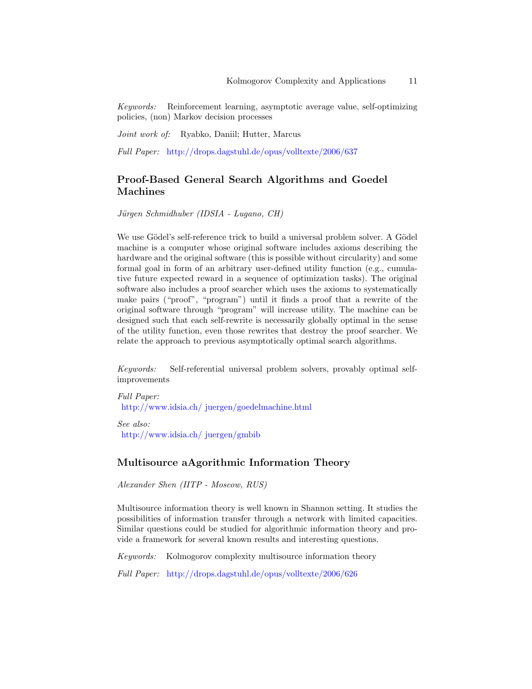Keywords: Reinforcement learning, asymptotic average value, self-optimizing policies, (non) Markov decision processes

Joint work of: Ryabko, Daniil; Hutter, Marcus

Full Paper: <http://drops.dagstuhl.de/opus/volltexte/2006/637>

# Proof-Based General Search Algorithms and Goedel Machines

Jürgen Schmidhuber (IDSIA - Lugano, CH)

We use Gödel's self-reference trick to build a universal problem solver. A Gödel machine is a computer whose original software includes axioms describing the hardware and the original software (this is possible without circularity) and some formal goal in form of an arbitrary user-defined utility function (e.g., cumulative future expected reward in a sequence of optimization tasks). The original software also includes a proof searcher which uses the axioms to systematically make pairs ("proof", "program") until it finds a proof that a rewrite of the original software through "program" will increase utility. The machine can be designed such that each self-rewrite is necessarily globally optimal in the sense of the utility function, even those rewrites that destroy the proof searcher. We relate the approach to previous asymptotically optimal search algorithms.

Keywords: Self-referential universal problem solvers, provably optimal selfimprovements

Full Paper: [http://www.idsia.ch/ juergen/goedelmachine.html](http://www.idsia.ch/~juergen/goedelmachine.html)

See also: [http://www.idsia.ch/ juergen/gmbib](http://www.idsia.ch/~juergen/gmbib)

# Multisource aAgorithmic Information Theory

Alexander Shen (IITP - Moscow, RUS)

Multisource information theory is well known in Shannon setting. It studies the possibilities of information transfer through a network with limited capacities. Similar questions could be studied for algorithmic information theory and provide a framework for several known results and interesting questions.

Keywords: Kolmogorov complexity multisource information theory

Full Paper: <http://drops.dagstuhl.de/opus/volltexte/2006/626>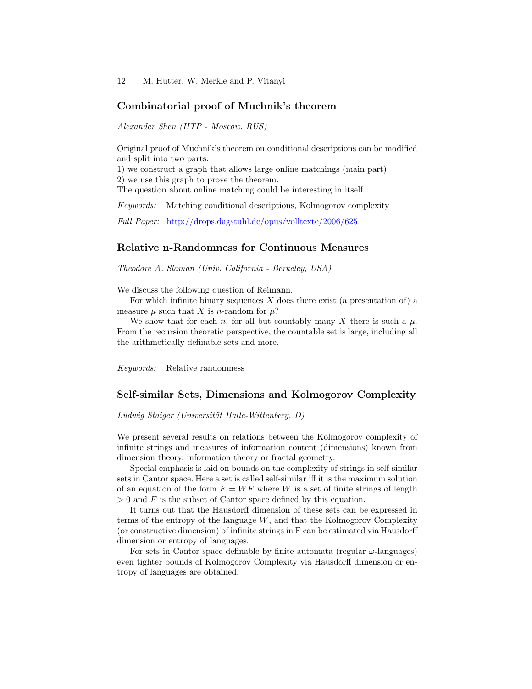### Combinatorial proof of Muchnik's theorem

Alexander Shen (IITP - Moscow, RUS)

Original proof of Muchnik's theorem on conditional descriptions can be modified and split into two parts:

1) we construct a graph that allows large online matchings (main part);

2) we use this graph to prove the theorem.

The question about online matching could be interesting in itself.

Keywords: Matching conditional descriptions, Kolmogorov complexity

Full Paper: <http://drops.dagstuhl.de/opus/volltexte/2006/625>

### Relative n-Randomness for Continuous Measures

Theodore A. Slaman (Univ. California - Berkeley, USA)

We discuss the following question of Reimann.

For which infinite binary sequences  $X$  does there exist (a presentation of) a measure  $\mu$  such that X is *n*-random for  $\mu$ ?

We show that for each n, for all but countably many X there is such a  $\mu$ . From the recursion theoretic perspective, the countable set is large, including all the arithmetically definable sets and more.

Keywords: Relative randomness

### Self-similar Sets, Dimensions and Kolmogorov Complexity

Ludwig Staiger (Universität Halle-Wittenberg, D)

We present several results on relations between the Kolmogorov complexity of infinite strings and measures of information content (dimensions) known from dimension theory, information theory or fractal geometry.

Special emphasis is laid on bounds on the complexity of strings in self-similar sets in Cantor space. Here a set is called self-similar iff it is the maximum solution of an equation of the form  $F = WF$  where W is a set of finite strings of length  $> 0$  and F is the subset of Cantor space defined by this equation.

It turns out that the Hausdorff dimension of these sets can be expressed in terms of the entropy of the language W, and that the Kolmogorov Complexity (or constructive dimension) of infinite strings in F can be estimated via Hausdorff dimension or entropy of languages.

For sets in Cantor space definable by finite automata (regular  $\omega$ -languages) even tighter bounds of Kolmogorov Complexity via Hausdorff dimension or entropy of languages are obtained.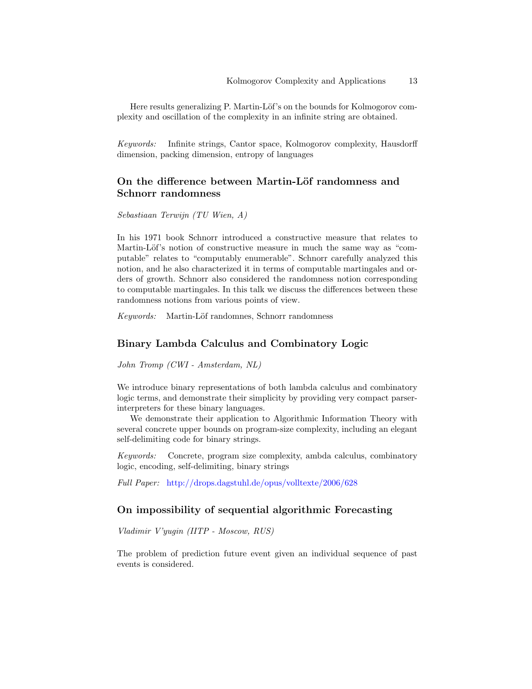Here results generalizing P. Martin-Löf's on the bounds for Kolmogorov complexity and oscillation of the complexity in an infinite string are obtained.

Keywords: Infinite strings, Cantor space, Kolmogorov complexity, Hausdorff dimension, packing dimension, entropy of languages

# On the difference between Martin-Löf randomness and Schnorr randomness

Sebastiaan Terwijn (TU Wien, A)

In his 1971 book Schnorr introduced a constructive measure that relates to Martin-Löf's notion of constructive measure in much the same way as "computable" relates to "computably enumerable". Schnorr carefully analyzed this notion, and he also characterized it in terms of computable martingales and orders of growth. Schnorr also considered the randomness notion corresponding to computable martingales. In this talk we discuss the differences between these randomness notions from various points of view.

Keywords: Martin-Löf randomnes, Schnorr randomness

# Binary Lambda Calculus and Combinatory Logic

John Tromp (CWI - Amsterdam, NL)

We introduce binary representations of both lambda calculus and combinatory logic terms, and demonstrate their simplicity by providing very compact parserinterpreters for these binary languages.

We demonstrate their application to Algorithmic Information Theory with several concrete upper bounds on program-size complexity, including an elegant self-delimiting code for binary strings.

Keywords: Concrete, program size complexity, ambda calculus, combinatory logic, encoding, self-delimiting, binary strings

Full Paper: <http://drops.dagstuhl.de/opus/volltexte/2006/628>

# On impossibility of sequential algorithmic Forecasting

Vladimir V'yugin (IITP - Moscow, RUS)

The problem of prediction future event given an individual sequence of past events is considered.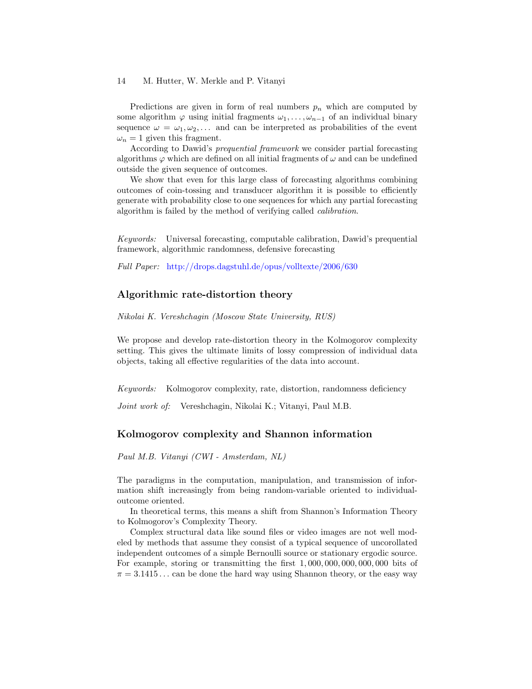Predictions are given in form of real numbers  $p_n$  which are computed by some algorithm  $\varphi$  using initial fragments  $\omega_1, \ldots, \omega_{n-1}$  of an individual binary sequence  $\omega = \omega_1, \omega_2, \ldots$  and can be interpreted as probabilities of the event  $\omega_n = 1$  given this fragment.

According to Dawid's prequential framework we consider partial forecasting algorithms  $\varphi$  which are defined on all initial fragments of  $\omega$  and can be undefined outside the given sequence of outcomes.

We show that even for this large class of forecasting algorithms combining outcomes of coin-tossing and transducer algorithm it is possible to efficiently generate with probability close to one sequences for which any partial forecasting algorithm is failed by the method of verifying called calibration.

Keywords: Universal forecasting, computable calibration, Dawid's prequential framework, algorithmic randomness, defensive forecasting

Full Paper: <http://drops.dagstuhl.de/opus/volltexte/2006/630>

# Algorithmic rate-distortion theory

Nikolai K. Vereshchagin (Moscow State University, RUS)

We propose and develop rate-distortion theory in the Kolmogorov complexity setting. This gives the ultimate limits of lossy compression of individual data objects, taking all effective regularities of the data into account.

Keywords: Kolmogorov complexity, rate, distortion, randomness deficiency

Joint work of: Vereshchagin, Nikolai K.; Vitanyi, Paul M.B.

### Kolmogorov complexity and Shannon information

Paul M.B. Vitanyi (CWI - Amsterdam, NL)

The paradigms in the computation, manipulation, and transmission of information shift increasingly from being random-variable oriented to individualoutcome oriented.

In theoretical terms, this means a shift from Shannon's Information Theory to Kolmogorov's Complexity Theory.

Complex structural data like sound files or video images are not well modeled by methods that assume they consist of a typical sequence of uncorollated independent outcomes of a simple Bernoulli source or stationary ergodic source. For example, storing or transmitting the first 1, 000, 000, 000, 000, 000 bits of  $\pi = 3.1415...$  can be done the hard way using Shannon theory, or the easy way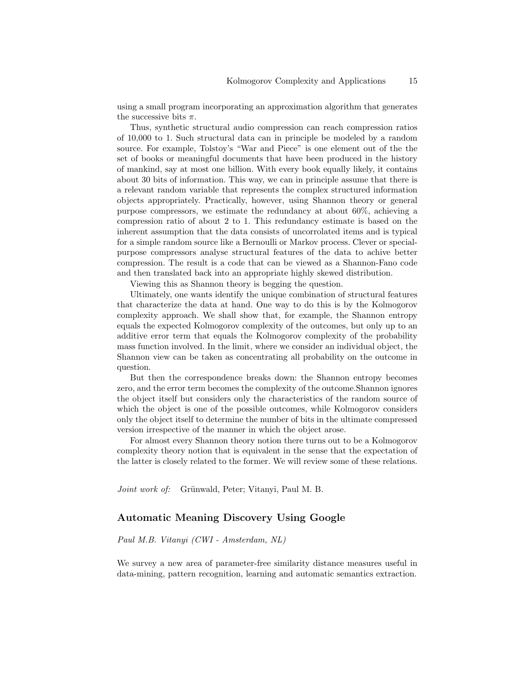using a small program incorporating an approximation algorithm that generates the successive bits  $\pi$ .

Thus, synthetic structural audio compression can reach compression ratios of 10,000 to 1. Such structural data can in principle be modeled by a random source. For example, Tolstoy's "War and Piece" is one element out of the the set of books or meaningful documents that have been produced in the history of mankind, say at most one billion. With every book equally likely, it contains about 30 bits of information. This way, we can in principle assume that there is a relevant random variable that represents the complex structured information objects appropriately. Practically, however, using Shannon theory or general purpose compressors, we estimate the redundancy at about 60%, achieving a compression ratio of about 2 to 1. This redundancy estimate is based on the inherent assumption that the data consists of uncorrolated items and is typical for a simple random source like a Bernoulli or Markov process. Clever or specialpurpose compressors analyse structural features of the data to achive better compression. The result is a code that can be viewed as a Shannon-Fano code and then translated back into an appropriate highly skewed distribution.

Viewing this as Shannon theory is begging the question.

Ultimately, one wants identify the unique combination of structural features that characterize the data at hand. One way to do this is by the Kolmogorov complexity approach. We shall show that, for example, the Shannon entropy equals the expected Kolmogorov complexity of the outcomes, but only up to an additive error term that equals the Kolmogorov complexity of the probability mass function involved. In the limit, where we consider an individual object, the Shannon view can be taken as concentrating all probability on the outcome in question.

But then the correspondence breaks down: the Shannon entropy becomes zero, and the error term becomes the complexity of the outcome.Shannon ignores the object itself but considers only the characteristics of the random source of which the object is one of the possible outcomes, while Kolmogorov considers only the object itself to determine the number of bits in the ultimate compressed version irrespective of the manner in which the object arose.

For almost every Shannon theory notion there turns out to be a Kolmogorov complexity theory notion that is equivalent in the sense that the expectation of the latter is closely related to the former. We will review some of these relations.

Joint work of: Grünwald, Peter; Vitanyi, Paul M. B.

### Automatic Meaning Discovery Using Google

Paul M.B. Vitanyi (CWI - Amsterdam, NL)

We survey a new area of parameter-free similarity distance measures useful in data-mining, pattern recognition, learning and automatic semantics extraction.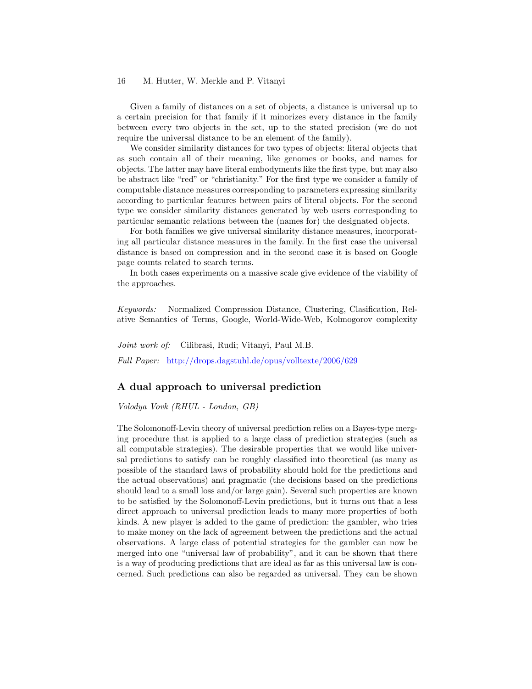Given a family of distances on a set of objects, a distance is universal up to a certain precision for that family if it minorizes every distance in the family between every two objects in the set, up to the stated precision (we do not require the universal distance to be an element of the family).

We consider similarity distances for two types of objects: literal objects that as such contain all of their meaning, like genomes or books, and names for objects. The latter may have literal embodyments like the first type, but may also be abstract like "red" or "christianity." For the first type we consider a family of computable distance measures corresponding to parameters expressing similarity according to particular features between pairs of literal objects. For the second type we consider similarity distances generated by web users corresponding to particular semantic relations between the (names for) the designated objects.

For both families we give universal similarity distance measures, incorporating all particular distance measures in the family. In the first case the universal distance is based on compression and in the second case it is based on Google page counts related to search terms.

In both cases experiments on a massive scale give evidence of the viability of the approaches.

Keywords: Normalized Compression Distance, Clustering, Clasification, Relative Semantics of Terms, Google, World-Wide-Web, Kolmogorov complexity

Joint work of: Cilibrasi, Rudi; Vitanyi, Paul M.B. Full Paper: <http://drops.dagstuhl.de/opus/volltexte/2006/629>

### A dual approach to universal prediction

Volodya Vovk (RHUL - London, GB)

The Solomonoff-Levin theory of universal prediction relies on a Bayes-type merging procedure that is applied to a large class of prediction strategies (such as all computable strategies). The desirable properties that we would like universal predictions to satisfy can be roughly classified into theoretical (as many as possible of the standard laws of probability should hold for the predictions and the actual observations) and pragmatic (the decisions based on the predictions should lead to a small loss and/or large gain). Several such properties are known to be satisfied by the Solomonoff-Levin predictions, but it turns out that a less direct approach to universal prediction leads to many more properties of both kinds. A new player is added to the game of prediction: the gambler, who tries to make money on the lack of agreement between the predictions and the actual observations. A large class of potential strategies for the gambler can now be merged into one "universal law of probability", and it can be shown that there is a way of producing predictions that are ideal as far as this universal law is concerned. Such predictions can also be regarded as universal. They can be shown